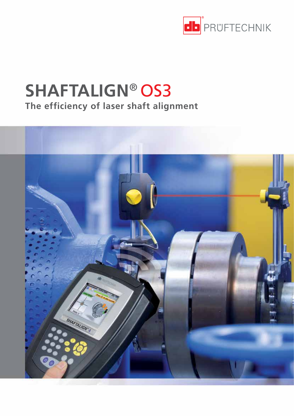

# **SHAFTALIGN**® OS3 **The efficiency of laser shaft alignment**

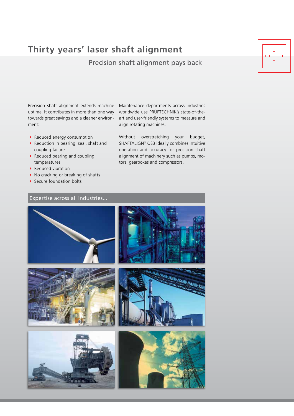# **Thirty years' laser shaft alignment**

### Precision shaft alignment pays back

Precision shaft alignment extends machine uptime. It contributes in more than one way towards great savings and a cleaner environment:

- Reduced energy consumption
- Reduction in bearing, seal, shaft and coupling failure
- $\blacktriangleright$  Reduced bearing and coupling temperatures
- Reduced vibration
- $\blacktriangleright$  No cracking or breaking of shafts
- Secure foundation bolts

Expertise across all industries...

Maintenance departments across industries worldwide use PRÜFTECHNIK's state-of-theart and user-friendly systems to measure and align rotating machines.

Without overstretching your budget, SHAFTALIGN® OS3 ideally combines intuitive operation and accuracy for precision shaft alignment of machinery such as pumps, motors, gearboxes and compressors.

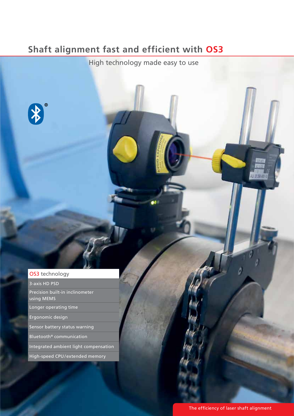# **Shaft alignment fast and efficient with OS3**

High technology made easy to use

### OS3 technology

3-axis HD PSD

 $\frac{1}{2}$ 

Precision built-in inclinometer using MEMS

Longer operating time

Ergonomic design

Sensor battery status warning

Bluetooth® communication

Integrated ambient light compensation

High-speed CPU / extended memory

电热器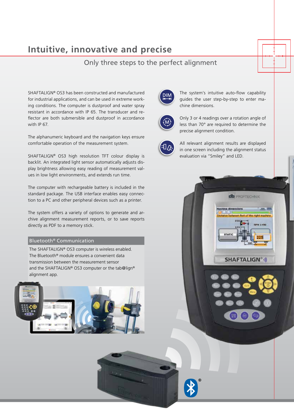### **Intuitive, innovative and precise**

### Only three steps to the perfect alignment

SHAFTALIGN® OS3 has been constructed and manufactured for industrial applications, and can be used in extreme working conditions. The computer is dustproof and water spray resistant in accordance with IP 65. The transducer and reflector are both submersible and dustproof in accordance with IP 67

The alphanumeric keyboard and the navigation keys ensure comfortable operation of the measurement system.

SHAFTALIGN® OS3 high resolution TFT colour display is backlit. An integrated light sensor automatically adjusts display brightness allowing easy reading of measurement values in low light environments, and extends run time.

The computer with rechargeable battery is included in the standard package. The USB interface enables easy connection to a PC and other peripheral devices such as a printer.

The system offers a variety of options to generate and archive alignment measurement reports, or to save reports directly as PDF to a memory stick.

#### Bluetooth® Communication

The SHAFTALIGN® OS3 computer is wireless enabled. The Bluetooth® module ensures a convenient data transmission between the measurement sensor and the SHAFTALIGN® OS3 computer or the tab@lign® alignment app.





The system's intuitive auto-flow capability guides the user step-by-step to enter machine dimensions.



Only 3 or 4 readings over a rotation angle of less than 70° are required to determine the precise alignment condition.



All relevant alignment results are displayed in one screen including the alignment status evaluation via "Smiley" and LED.

**db** PROFTECHNIK

**SHAFTALIGN®** 

 $1.100, 30$ 

N 1400

e dimensions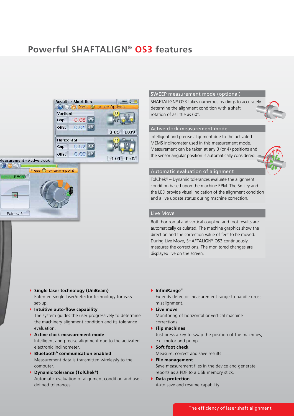

Press <sup>o</sup> to take a point.

**PLAN** 

aser REAF

Points: 2

### SWEEP measurement mode (optional)

SHAFTALIGN® OS3 takes numerous readings to accurately determine the alignment condition with a shaft rotation of as little as 60°.

#### Active clock measurement mode

Intelligent and precise alignment due to the activated MEMS inclinometer used in this measurement mode. Measurement can be taken at any 3 (or 4) positions and the sensor angular position is automatically considered.



#### Automatic evaluation of alignment

TolChe $k^{\circ}$  – Dynamic tolerances evaluate the alignment condition based upon the machine RPM. The Smiley and the LED provide visual indication of the alignment condition and a live update status during machine correction.

#### Live Move

Both horizontal and vertical coupling and foot results are automatically calculated. The machine graphics show the direction and the correction value of feet to be moved. During Live Move, SHAFTALIGN® OS3 continuously measures the corrections. The monitored changes are displayed live on the screen.

- **Single laser technology (UniBeam)** Patented single laser/detector technology for easy set-up.
- **Intuitive auto-flow capability**  The system guides the user progressively to determine the machinery alignment condition and its tolerance evaluation.
- **Active clock measurement mode**  Intelligent and precise alignment due to the activated electronic inclinometer.
- **Bluetooth® communication enabled** Measurement data is transmitted wirelessly to the computer.
- **Dynamic tolerance (TolChek**®**)** Automatic evaluation of alignment condition and userdefined tolerances.

**InfiniRange**®

Extends detector measurement range to handle gross misalignment.

**Live move**

Monitoring of horizontal or vertical machine corrections.

- **Flip machines** Just press a key to swap the position of the machines, e.g. motor and pump.
- ▶ Soft foot check Measure, correct and save results. **File management**

Save measurement files in the device and generate reports as a PDF to a USB memory stick.

 **Data protection** Auto save and resume capability.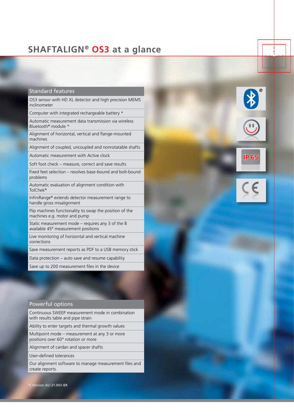### **SHAFTALIGN**® **OS3 at a glance**

#### Standard features

OS3 sensor with HD XL detector and high precision MEMS inclinometer

Computer with integrated rechargeable battery \*

Automatic measurement data transmission via wireless Bluetooth® module \*

Alignment of horizontal, vertical and flange-mounted machines

Alignment of coupled, uncoupled and nonrotatable shafts

IP 65

Automatic measurement with Active clock

Soft foot check – measure, correct and save results

Fixed feet selection – resolves base-bound and bolt-bound problems

Automatic evaluation of alignment condition with TolChek®

InfiniRange® extends detector measurement range to handle gross misalignment

Flip machines functionality to swap the position of the machines e.g. motor and pump

Static measurement mode – requires any 3 of the 8 available 45° measurement positions

Live monitoring of horizontal and vertical machine corrections

Save measurement reports as PDF to a USB memory stick

Data protection – auto save and resume capability

Save up to 200 measurement files in the device

#### Powerful options

Continuous SWEEP measurement mode in combination with results table and pipe strain

Ability to enter targets and thermal growth values

Multipoint mode – measurement at any 3 or more positions over 60° rotation or more

Alignment of cardan and spacer shafts

User-defined tolerances

Our alignment software to manage measurement files and create reports.

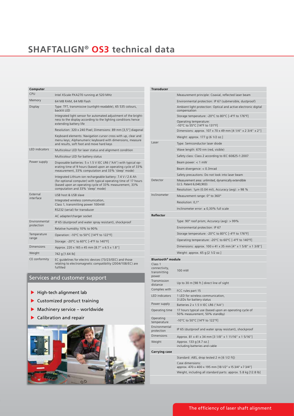# **SHAFTALIGN® OS3 technical data**

| Computer                           |                                                                                                                                                                                                                               |
|------------------------------------|-------------------------------------------------------------------------------------------------------------------------------------------------------------------------------------------------------------------------------|
| CPU                                | Intel XScale PXA270 running at 520 MHz                                                                                                                                                                                        |
| Memory                             | 64 MB RAM, 64 MB Flash                                                                                                                                                                                                        |
| Display                            | Type: TFT, transmissive (sunlight-readable), 65 535 colours,<br>backlit I FD                                                                                                                                                  |
|                                    | Integrated light sensor for automated adjustment of the bright-<br>ness to the display according to the lighting conditions hence<br>extending battery life                                                                   |
|                                    | Resolution: 320 x 240 Pixel; Dimensions: 89 mm [3,5"] diagonal                                                                                                                                                                |
|                                    | Keyboard elements: Navigation cursor cross with up, clear and<br>menu keys; Alphanumeric keyboard with dimensions, measure<br>and results, soft foot and move hard keys                                                       |
| <b>IFD</b> indicators              | Multicolour LED for laser status and alignment condition                                                                                                                                                                      |
|                                    | Multicolour LED for battery status                                                                                                                                                                                            |
| Power supply                       | Disposable batteries: 5 x 1.5 V IEC LR6 ("AA") with typical op-<br>erating time of 9 hours (based upon an operating cycle of 33%<br>measurement, 33% computation and 33% 'sleep' mode)                                        |
|                                    | Integrated Lithium-ion rechargeable battery: 7.4 V / 2.6 Ah<br>(for optional computer) with typical operating time of 17 hours<br>(based upon an operating cycle of 33% measurement, 33%<br>computation and 33% 'sleep' mode) |
| External<br>interface              | USB host & USB slave                                                                                                                                                                                                          |
|                                    | Integrated wireless communication,<br>Class 1, transmitting power 100mW                                                                                                                                                       |
|                                    | RS232 (serial) for transducer                                                                                                                                                                                                 |
|                                    | AC adapter/charger socket                                                                                                                                                                                                     |
| <b>Fnvironmental</b><br>protection | IP 65 (dustproof and water spray resistant), shockproof                                                                                                                                                                       |
|                                    | Relative humidity 10% to 90%                                                                                                                                                                                                  |
| Temperature<br>range               | Operation: -10°C to 50°C [14°F to 122°F]                                                                                                                                                                                      |
|                                    | Storage: -20°C to 60°C [-4°F to 140°F]                                                                                                                                                                                        |
| <b>Dimensions</b>                  | Approx. 220 x 165 x 45 mm [8.7" x 6.5 x 1.8"]                                                                                                                                                                                 |
| Weight                             | 742 g [1.64 lb]                                                                                                                                                                                                               |
| CE conformity                      | EC quidelines for electric devices (73/23/EEC) and those<br>relating to electromagnetic compatibility (2004/108/EC) are<br>fulfilled                                                                                          |

#### Services and customer support

- $\blacktriangleright$  High-tech alignment lab
- Customized product training
- Machinery service worldwide
- Calibration and repair



| <b>Transducer</b>                                 |                                                                                         |
|---------------------------------------------------|-----------------------------------------------------------------------------------------|
|                                                   | Measurement principle: Coaxial, reflected laser beam                                    |
|                                                   | Environmental protection: IP 67 (submersible, dustproof)                                |
|                                                   | Ambient light protection: Optical and active electronic digital<br>compensation         |
|                                                   | Storage temperature: -20°C to 80°C [-4°F to 176°F]                                      |
|                                                   | Operating temperature:<br>-10°C to 55°C [14°F to 131°F]                                 |
|                                                   | Dimensions: approx. 107 x 70 x 49 mm [4 1/4" x 2 3/4" x 2"]                             |
|                                                   | Weight: approx. 177 g (6 1/2 oz.)                                                       |
| Laser                                             | Type: Semiconductor laser diode                                                         |
|                                                   | Wave length: 670 nm (red, visible)                                                      |
|                                                   | Safety class: Class 2 according to IEC 60825-1:2007                                     |
|                                                   | Beam power: $<$ 1 mW                                                                    |
|                                                   | Beam divergence: < 0.3mrad                                                              |
|                                                   | Safety precautions: Do not look into laser beam                                         |
| Detector                                          | Measurement area: unlimited, dynamically extendible<br>(U.S. Patent 6,040,903)          |
|                                                   | Resolution: 1 $\mu$ m (0.04 mil), Accuracy (avg): > 98 %                                |
| Inclinometer                                      | Measurement range: 0° to 360°                                                           |
|                                                   | Resolution: 0,1°                                                                        |
|                                                   | Inclinometer error: $\pm$ 0,30% full scale                                              |
| Reflector                                         |                                                                                         |
|                                                   | Type: 90° roof prism; Accuracy (avg): > 99%                                             |
|                                                   | Environmental protection: IP 67                                                         |
|                                                   | Storage temperature: -20°C to 80°C [-4°F to 176°F]                                      |
|                                                   | Operating temperature: -20°C to 60°C [-4°F to 140°F]                                    |
|                                                   | Dimensions: approx. 100 x 41 x 35 mm [4" x 1 5/8" x 1 3/8"]                             |
|                                                   | Weight: approx. 65 g [2 1/2 oz.]                                                        |
| Bluetooth <sup>®</sup> module                     |                                                                                         |
| Class 1<br>connectivity,<br>transmitting<br>power | 100 mW                                                                                  |
| Transmission<br>distance                          | Up to 30 m [98 ft.] direct line of sight                                                |
| Complies with                                     | FCC rules part 15                                                                       |
| <b>LED</b> indicators                             | 1 LED for wireless communication,<br>3 LEDs for battery status                          |
| Power supply                                      | Batteries 2 x 1.5 V IEC LR6 ("AA")                                                      |
| Operating time                                    | 17 hours typical use (based upon an operating cycle of<br>50% measurement, 50% standby) |
| Operating<br>temperature                          | -10°C to 50°C [14°F to 122°F]                                                           |
| Environmental<br>protection                       | IP 65 (dustproof and water spray resistant), shockproof                                 |
| Dimensions                                        | Approx. 81 x 41 x 34 mm [3 1/8" x 1 11/16" x 1 5/16"]                                   |
| Weight                                            | Approx. 133 g [4.7 oz.]<br>including batteries and cable                                |
| <b>Carrying case</b>                              |                                                                                         |
|                                                   | Standard: ABS, drop tested 2 m [6 1/2 ft])                                              |
|                                                   | Case dimensions:<br>approx. 470 x 400 x 195 mm [18 1/2" x 15 3/4" x 7 3/4"]             |
|                                                   | Weight, including all standard parts: approx. 5.8 kg [12.8 lb]                          |